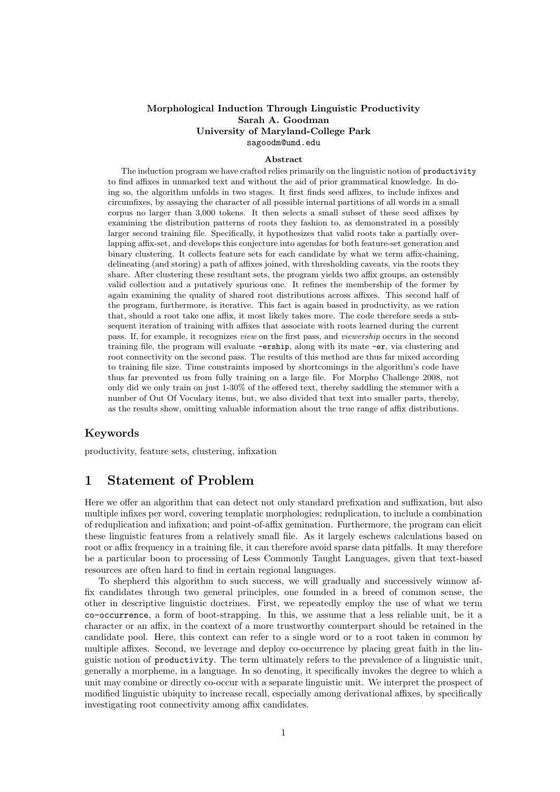#### Morphological Induction Through Linguistic Productivity Sarah A. Goodman University of Maryland-College Park sagoodm@umd.edu

#### Abstract

The induction program we have crafted relies primarily on the linguistic notion of productivity to find affixes in unmarked text and without the aid of prior grammatical knowledge. In doing so, the algorithm unfolds in two stages. It first finds seed affixes, to include infixes and circumfixes, by assaying the character of all possible internal partitions of all words in a small corpus no larger than 3,000 tokens. It then selects a small subset of these seed affixes by examining the distribution patterns of roots they fashion to, as demonstrated in a possibly larger second training file. Specifically, it hypothesizes that valid roots take a partially overlapping affix-set, and develops this conjecture into agendas for both feature-set generation and binary clustering. It collects feature sets for each candidate by what we term affix-chaining, delineating (and storing) a path of affixes joined, with thresholding caveats, via the roots they share. After clustering these resultant sets, the program yields two affix groups, an ostensibly valid collection and a putatively spurious one. It refines the membership of the former by again examining the quality of shared root distributions across affixes. This second half of the program, furthermore, is iterative. This fact is again based in productivity, as we ration that, should a root take one affix, it most likely takes more. The code therefore seeds a subsequent iteration of training with affixes that associate with roots learned during the current pass. If, for example, it recognizes view on the first pass, and viewership occurs in the second training file, the program will evaluate -ership, along with its mate -er, via clustering and root connectivity on the second pass. The results of this method are thus far mixed according to training file size. Time constraints imposed by shortcomings in the algorithm's code have thus far prevented us from fully training on a large file. For Morpho Challenge 2008, not only did we only train on just 1-30% of the offered text, thereby saddling the stemmer with a number of Out Of Voculary items, but, we also divided that text into smaller parts, thereby, as the results show, omitting valuable information about the true range of affix distributions.

### Keywords

productivity, feature sets, clustering, infixation

# 1 Statement of Problem

Here we offer an algorithm that can detect not only standard prefixation and suffixation, but also multiple infixes per word, covering templatic morphologies; reduplication, to include a combination of reduplication and infixation; and point-of-affix gemination. Furthermore, the program can elicit these linguistic features from a relatively small file. As it largely eschews calculations based on root or affix frequency in a training file, it can therefore avoid sparse data pitfalls. It may therefore be a particular boon to processing of Less Commonly Taught Languages, given that text-based resources are often hard to find in certain regional languages.

To shepherd this algorithm to such success, we will gradually and successively winnow affix candidates through two general principles, one founded in a breed of common sense, the other in descriptive linguistic doctrines. First, we repeatedly employ the use of what we term co-occurrence, a form of boot-strapping. In this, we assume that a less reliable unit, be it a character or an affix, in the context of a more trustworthy counterpart should be retained in the candidate pool. Here, this context can refer to a single word or to a root taken in common by multiple affixes. Second, we leverage and deploy co-occurrence by placing great faith in the linguistic notion of productivity. The term ultimately refers to the prevalence of a linguistic unit, generally a morpheme, in a language. In so denoting, it specifically invokes the degree to which a unit may combine or directly co-occur with a separate linguistic unit. We interpret the prospect of modified linguistic ubiquity to increase recall, especially among derivational affixes, by specifically investigating root connectivity among affix candidates.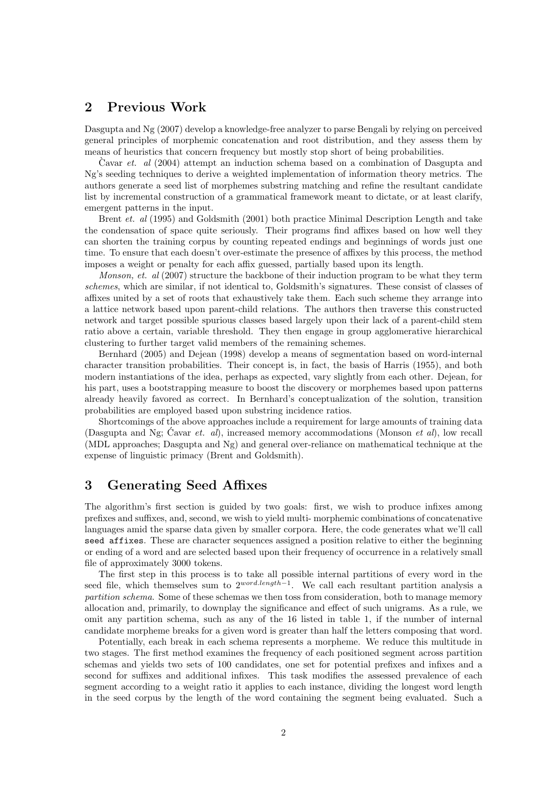# 2 Previous Work

Dasgupta and Ng (2007) develop a knowledge-free analyzer to parse Bengali by relying on perceived general principles of morphemic concatenation and root distribution, and they assess them by means of heuristics that concern frequency but mostly stop short of being probabilities.

Cavar  $et.$  al (2004) attempt an induction schema based on a combination of Dasgupta and Ng's seeding techniques to derive a weighted implementation of information theory metrics. The authors generate a seed list of morphemes substring matching and refine the resultant candidate list by incremental construction of a grammatical framework meant to dictate, or at least clarify, emergent patterns in the input.

Brent et. al (1995) and Goldsmith (2001) both practice Minimal Description Length and take the condensation of space quite seriously. Their programs find affixes based on how well they can shorten the training corpus by counting repeated endings and beginnings of words just one time. To ensure that each doesn't over-estimate the presence of affixes by this process, the method imposes a weight or penalty for each affix guessed, partially based upon its length.

Monson, et. al (2007) structure the backbone of their induction program to be what they term schemes, which are similar, if not identical to, Goldsmith's signatures. These consist of classes of affixes united by a set of roots that exhaustively take them. Each such scheme they arrange into a lattice network based upon parent-child relations. The authors then traverse this constructed network and target possible spurious classes based largely upon their lack of a parent-child stem ratio above a certain, variable threshold. They then engage in group agglomerative hierarchical clustering to further target valid members of the remaining schemes.

Bernhard (2005) and Dejean (1998) develop a means of segmentation based on word-internal character transition probabilities. Their concept is, in fact, the basis of Harris (1955), and both modern instantiations of the idea, perhaps as expected, vary slightly from each other. Dejean, for his part, uses a bootstrapping measure to boost the discovery or morphemes based upon patterns already heavily favored as correct. In Bernhard's conceptualization of the solution, transition probabilities are employed based upon substring incidence ratios.

Shortcomings of the above approaches include a requirement for large amounts of training data (Dasgupta and Ng; Cavar *et. al)*, increased memory accommodations (Monson *et al)*, low recall (MDL approaches; Dasgupta and Ng) and general over-reliance on mathematical technique at the expense of linguistic primacy (Brent and Goldsmith).

# 3 Generating Seed Affixes

The algorithm's first section is guided by two goals: first, we wish to produce infixes among prefixes and suffixes, and, second, we wish to yield multi- morphemic combinations of concatenative languages amid the sparse data given by smaller corpora. Here, the code generates what we'll call seed affixes. These are character sequences assigned a position relative to either the beginning or ending of a word and are selected based upon their frequency of occurrence in a relatively small file of approximately 3000 tokens.

The first step in this process is to take all possible internal partitions of every word in the seed file, which themselves sum to  $2^{word.length-1}$ . We call each resultant partition analysis a partition schema. Some of these schemas we then toss from consideration, both to manage memory allocation and, primarily, to downplay the significance and effect of such unigrams. As a rule, we omit any partition schema, such as any of the 16 listed in table 1, if the number of internal candidate morpheme breaks for a given word is greater than half the letters composing that word.

Potentially, each break in each schema represents a morpheme. We reduce this multitude in two stages. The first method examines the frequency of each positioned segment across partition schemas and yields two sets of 100 candidates, one set for potential prefixes and infixes and a second for suffixes and additional infixes. This task modifies the assessed prevalence of each segment according to a weight ratio it applies to each instance, dividing the longest word length in the seed corpus by the length of the word containing the segment being evaluated. Such a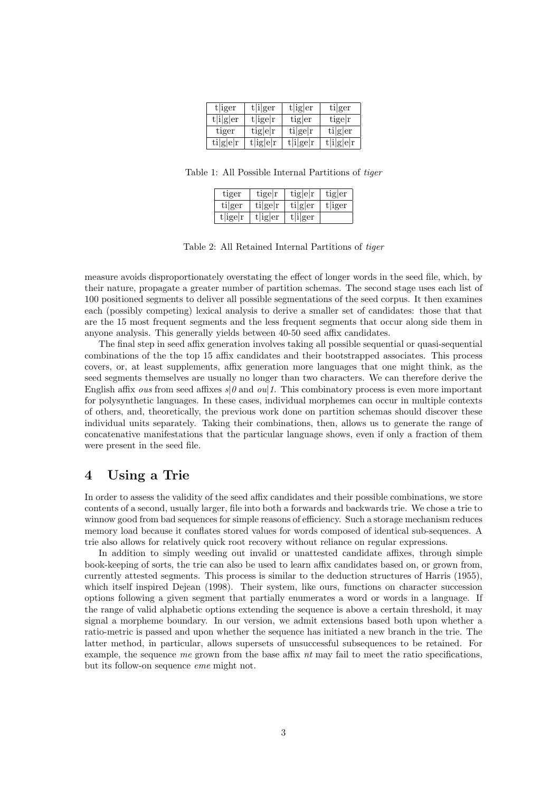| t iger            | t i ger         | $t\left \text{ig}\right $ er | tiger     |
|-------------------|-----------------|------------------------------|-----------|
| t[i]g er          | $t$   ige  $r$  | tiger                        | tiger     |
| tiger             | tig e r         | $\text{tilge} r$             | tiger     |
| $\text{ti} g e r$ | $t$   ig   e  r | t[i]ge r                     | t[i]g[e]r |

Table 1: All Possible Internal Partitions of tiger

| tiger       | tige r              | tig e r    | tig er  |
|-------------|---------------------|------------|---------|
| tiger       | $\text{tilge} r$    | tiger      | t liger |
| $t$ ige $r$ | $t\vert ig\vert er$ | $t[i]$ ger |         |

Table 2: All Retained Internal Partitions of tiger

measure avoids disproportionately overstating the effect of longer words in the seed file, which, by their nature, propagate a greater number of partition schemas. The second stage uses each list of 100 positioned segments to deliver all possible segmentations of the seed corpus. It then examines each (possibly competing) lexical analysis to derive a smaller set of candidates: those that that are the 15 most frequent segments and the less frequent segments that occur along side them in anyone analysis. This generally yields between 40-50 seed affix candidates.

The final step in seed affix generation involves taking all possible sequential or quasi-sequential combinations of the the top 15 affix candidates and their bootstrapped associates. This process covers, or, at least supplements, affix generation more languages that one might think, as the seed segments themselves are usually no longer than two characters. We can therefore derive the English affix ous from seed affixes  $s|\theta$  and oul 1. This combinatory process is even more important for polysynthetic languages. In these cases, individual morphemes can occur in multiple contexts of others, and, theoretically, the previous work done on partition schemas should discover these individual units separately. Taking their combinations, then, allows us to generate the range of concatenative manifestations that the particular language shows, even if only a fraction of them were present in the seed file.

### 4 Using a Trie

In order to assess the validity of the seed affix candidates and their possible combinations, we store contents of a second, usually larger, file into both a forwards and backwards trie. We chose a trie to winnow good from bad sequences for simple reasons of efficiency. Such a storage mechanism reduces memory load because it conflates stored values for words composed of identical sub-sequences. A trie also allows for relatively quick root recovery without reliance on regular expressions.

In addition to simply weeding out invalid or unattested candidate affixes, through simple book-keeping of sorts, the trie can also be used to learn affix candidates based on, or grown from, currently attested segments. This process is similar to the deduction structures of Harris (1955), which itself inspired Dejean (1998). Their system, like ours, functions on character succession options following a given segment that partially enumerates a word or words in a language. If the range of valid alphabetic options extending the sequence is above a certain threshold, it may signal a morpheme boundary. In our version, we admit extensions based both upon whether a ratio-metric is passed and upon whether the sequence has initiated a new branch in the trie. The latter method, in particular, allows supersets of unsuccessful subsequences to be retained. For example, the sequence me grown from the base affix nt may fail to meet the ratio specifications. but its follow-on sequence eme might not.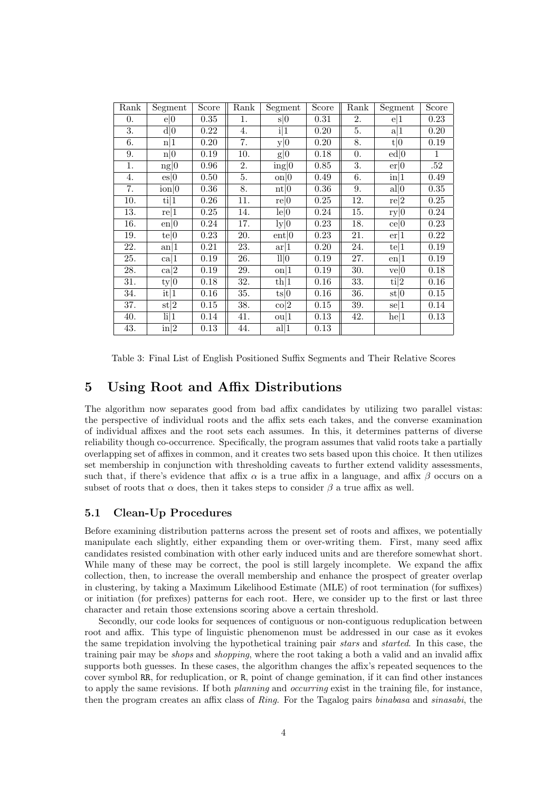| Rank | Segment                         | Score      | Rank | Segment               | Score | Rank | Segment                  | Score        |
|------|---------------------------------|------------|------|-----------------------|-------|------|--------------------------|--------------|
| 0.   | e 0                             | $\rm 0.35$ | 1.   | s 0                   | 0.31  | 2.   | e 1                      | $0.23\,$     |
| 3.   | d 0                             | 0.22       | 4.   | i 1                   | 0.20  | 5.   | a 1                      | 0.20         |
| 6.   | n 1                             | 0.20       | 7.   | y 0                   | 0.20  | 8.   | t 0                      | 0.19         |
| 9.   | n 0                             | 0.19       | 10.  | g 0                   | 0.18  | 0.   | ed 0                     | $\mathbf{1}$ |
| 1.   | $ng \vec{0}$                    | 0.96       | 2.   | ing 0                 | 0.85  | 3.   | er 0                     | .52          |
| 4.   | es 0                            | 0.50       | 5.   | $\Omega$  0           | 0.49  | 6.   | in 1                     | $0.49\,$     |
| 7.   | $\frac{1}{10}$                  | 0.36       | 8.   | nt 0                  | 0.36  | 9.   | all 0                    | $0.35\,$     |
| 10.  | $\frac{1}{1}$                   | 0.26       | 11.  | re 0                  | 0.25  | 12.  | re 2                     | 0.25         |
| 13.  | re 1                            | 0.25       | 14.  | le 0                  | 0.24  | 15.  | ry 0                     | 0.24         |
| 16.  | en 0                            | 0.24       | 17.  | $\lg 0$               | 0.23  | 18.  | ce 0                     | 0.23         |
| 19.  | te 0                            | 0.23       | 20.  | ent 0                 | 0.23  | 21.  | er 1                     | 0.22         |
| 22.  | $\frac{an}{1}$                  | 0.21       | 23.  | ar 1                  | 0.20  | 24.  | te 1                     | 0.19         |
| 25.  | ca 1                            | 0.19       | 26.  | 11 0                  | 0.19  | 27.  | $\frac{en}{1}$           | 0.19         |
| 28.  | ca 2                            | 0.19       | 29.  | $\Omega$  1           | 0.19  | 30.  | ve 0                     | 0.18         |
| 31.  | ty 0                            | 0.18       | 32.  | th 1                  | 0.16  | 33.  | $\overline{\text{ti}} 2$ | 0.16         |
| 34.  | $\overline{\mathrm{it}}\vert 1$ | 0.16       | 35.  | ts 0                  | 0.16  | 36.  | st 0                     | 0.15         |
| 37.  | $\mathrm{st} 2$                 | 0.15       | 38.  | $\cos\left 2\right $  | 0.15  | 39.  | $\frac{1}{2}$            | 0.14         |
| 40.  | $\frac{1}{1}$                   | 0.14       | 41.  | $\alpha$  1           | 0.13  | 42.  | he 1                     | 0.13         |
| 43.  | $\vert \text{in} \vert 2$       | 0.13       | 44.  | $\operatorname{all}1$ | 0.13  |      |                          |              |

Table 3: Final List of English Positioned Suffix Segments and Their Relative Scores

## 5 Using Root and Affix Distributions

The algorithm now separates good from bad affix candidates by utilizing two parallel vistas: the perspective of individual roots and the affix sets each takes, and the converse examination of individual affixes and the root sets each assumes. In this, it determines patterns of diverse reliability though co-occurrence. Specifically, the program assumes that valid roots take a partially overlapping set of affixes in common, and it creates two sets based upon this choice. It then utilizes set membership in conjunction with thresholding caveats to further extend validity assessments, such that, if there's evidence that affix  $\alpha$  is a true affix in a language, and affix  $\beta$  occurs on a subset of roots that  $\alpha$  does, then it takes steps to consider  $\beta$  a true affix as well.

### 5.1 Clean-Up Procedures

Before examining distribution patterns across the present set of roots and affixes, we potentially manipulate each slightly, either expanding them or over-writing them. First, many seed affix candidates resisted combination with other early induced units and are therefore somewhat short. While many of these may be correct, the pool is still largely incomplete. We expand the affix collection, then, to increase the overall membership and enhance the prospect of greater overlap in clustering, by taking a Maximum Likelihood Estimate (MLE) of root termination (for suffixes) or initiation (for prefixes) patterns for each root. Here, we consider up to the first or last three character and retain those extensions scoring above a certain threshold.

Secondly, our code looks for sequences of contiguous or non-contiguous reduplication between root and affix. This type of linguistic phenomenon must be addressed in our case as it evokes the same trepidation involving the hypothetical training pair stars and started. In this case, the training pair may be shops and shopping, where the root taking a both a valid and an invalid affix supports both guesses. In these cases, the algorithm changes the affix's repeated sequences to the cover symbol RR, for reduplication, or R, point of change gemination, if it can find other instances to apply the same revisions. If both planning and occurring exist in the training file, for instance, then the program creates an affix class of Ring. For the Tagalog pairs binabasa and sinasabi, the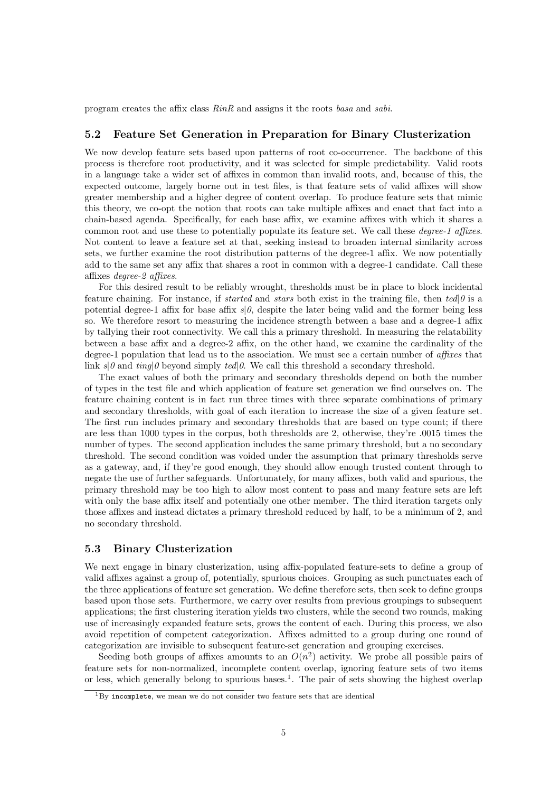program creates the affix class RinR and assigns it the roots basa and sabi.

#### 5.2 Feature Set Generation in Preparation for Binary Clusterization

We now develop feature sets based upon patterns of root co-occurrence. The backbone of this process is therefore root productivity, and it was selected for simple predictability. Valid roots in a language take a wider set of affixes in common than invalid roots, and, because of this, the expected outcome, largely borne out in test files, is that feature sets of valid affixes will show greater membership and a higher degree of content overlap. To produce feature sets that mimic this theory, we co-opt the notion that roots can take multiple affixes and enact that fact into a chain-based agenda. Specifically, for each base affix, we examine affixes with which it shares a common root and use these to potentially populate its feature set. We call these *degree-1 affixes*. Not content to leave a feature set at that, seeking instead to broaden internal similarity across sets, we further examine the root distribution patterns of the degree-1 affix. We now potentially add to the same set any affix that shares a root in common with a degree-1 candidate. Call these affixes degree-2 affixes.

For this desired result to be reliably wrought, thresholds must be in place to block incidental feature chaining. For instance, if *started* and *stars* both exist in the training file, then ted|0 is a potential degree-1 affix for base affix  $s|\theta$ , despite the later being valid and the former being less so. We therefore resort to measuring the incidence strength between a base and a degree-1 affix by tallying their root connectivity. We call this a primary threshold. In measuring the relatability between a base affix and a degree-2 affix, on the other hand, we examine the cardinality of the degree-1 population that lead us to the association. We must see a certain number of affixes that link  $s|\theta$  and ting| $\theta$  beyond simply ted| $\theta$ . We call this threshold a secondary threshold.

The exact values of both the primary and secondary thresholds depend on both the number of types in the test file and which application of feature set generation we find ourselves on. The feature chaining content is in fact run three times with three separate combinations of primary and secondary thresholds, with goal of each iteration to increase the size of a given feature set. The first run includes primary and secondary thresholds that are based on type count; if there are less than 1000 types in the corpus, both thresholds are 2, otherwise, they're .0015 times the number of types. The second application includes the same primary threshold, but a no secondary threshold. The second condition was voided under the assumption that primary thresholds serve as a gateway, and, if they're good enough, they should allow enough trusted content through to negate the use of further safeguards. Unfortunately, for many affixes, both valid and spurious, the primary threshold may be too high to allow most content to pass and many feature sets are left with only the base affix itself and potentially one other member. The third iteration targets only those affixes and instead dictates a primary threshold reduced by half, to be a minimum of 2, and no secondary threshold.

#### 5.3 Binary Clusterization

We next engage in binary clusterization, using affix-populated feature-sets to define a group of valid affixes against a group of, potentially, spurious choices. Grouping as such punctuates each of the three applications of feature set generation. We define therefore sets, then seek to define groups based upon those sets. Furthermore, we carry over results from previous groupings to subsequent applications; the first clustering iteration yields two clusters, while the second two rounds, making use of increasingly expanded feature sets, grows the content of each. During this process, we also avoid repetition of competent categorization. Affixes admitted to a group during one round of categorization are invisible to subsequent feature-set generation and grouping exercises.

Seeding both groups of affixes amounts to an  $O(n^2)$  activity. We probe all possible pairs of feature sets for non-normalized, incomplete content overlap, ignoring feature sets of two items or less, which generally belong to spurious bases.<sup>1</sup>. The pair of sets showing the highest overlap

 $1By$  incomplete, we mean we do not consider two feature sets that are identical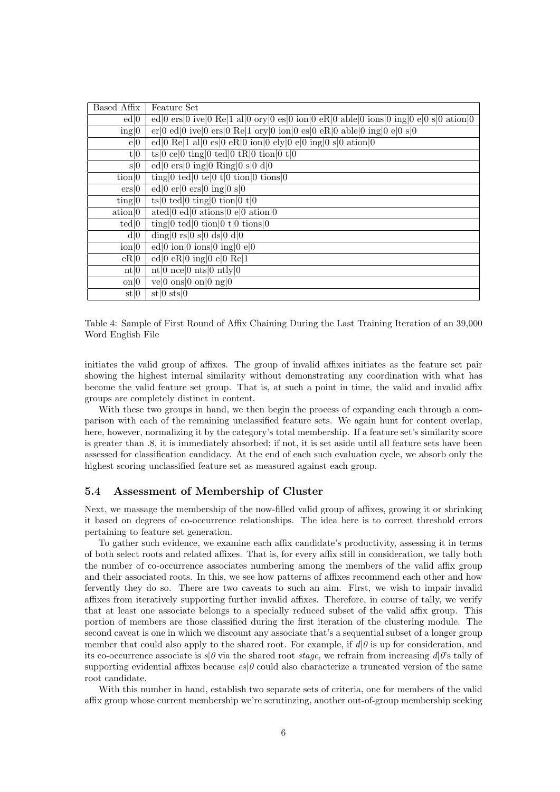| Based Affix                | Feature Set                                                                                                                                                                                                                                                                                                                                                                                                                                                |
|----------------------------|------------------------------------------------------------------------------------------------------------------------------------------------------------------------------------------------------------------------------------------------------------------------------------------------------------------------------------------------------------------------------------------------------------------------------------------------------------|
| ed 0                       | ed 0 ers 0 ive 0 Re 1 al 0 ory 0 es 0 ion 0 eR 0 able 0 ions 0 ing 0 e 0 s 0 ation 0                                                                                                                                                                                                                                                                                                                                                                       |
| ing 0                      | $er 0 \text{ ed} 0 \text{ ive} 0 \text{ ers} 0 \text{ Re} 1 \text{ or }  0 \text{ ion} 0 \text{ es} 0 \text{ eR} 0 \text{ able} 0 \text{ ing} 0 \text{ e} 0 \text{ s} 0$                                                                                                                                                                                                                                                                                   |
| e 0                        | ed 0 Re 1 al 0 es 0 eR 0 ion 0 ely 0 e 0 ing 0 s 0 ation 0                                                                                                                                                                                                                                                                                                                                                                                                 |
| t 0                        | ts 0 ce 0 ting 0 ted 0 tR 0 tion 0 t 0                                                                                                                                                                                                                                                                                                                                                                                                                     |
| s 0                        | ed $ 0 \text{ ers} 0 \text{ ing} 0 \text{ Ring} 0 \text{ s} 0 \text{ d} 0$                                                                                                                                                                                                                                                                                                                                                                                 |
| $\overline{\text{tion}} 0$ | ting   0 ted   0 te   0 t   0 tion   0 tions   0                                                                                                                                                                                                                                                                                                                                                                                                           |
| ers 0                      | ed $ 0 \text{ er} 0 \text{ ers} 0 \text{ ing} 0 \text{ s} 0$                                                                                                                                                                                                                                                                                                                                                                                               |
| $\text{ting}  0$           | $ts 0 \tted 0 \tting 0 \tion 0 \t t 0$                                                                                                                                                                                                                                                                                                                                                                                                                     |
| ation 0                    | ated $ 0 \text{ ed} 0 \text{ ations} 0 \text{ e} 0 \text{ ation} 0$                                                                                                                                                                                                                                                                                                                                                                                        |
| ted 0                      | ting $0 \text{ } \text{ } \text{ } \text{ } \text{ } 0 \text{ } \text{ } \text{ } \text{ } \text{ } \text{ } 0 \text{ } \text{ } \text{ } \text{ } 10 \text{ } \text{ } \text{ } \text{ } \text{ } \text{ } 10 \text{ } \text{ } \text{ } \text{ } 10 \text{ } \text{ } \text{ } 10 \text{ } \text{ } 10 \text{ } \text{ } 10 \text{ } \text{ } 10 \text{ } \text{ } 10 \text{ } \text{ } 10 \text{ } \text{ } 10 \text{ } \text{ } 10 \text{ } \text{ } $ |
| d 0                        | ding $ 0 \text{ rs} 0 \text{ s} 0 \text{ ds} 0 \text{ d} 0$                                                                                                                                                                                                                                                                                                                                                                                                |
| $\overline{\text{ion}} 0$  | ed $ 0 \text{ ion} 0 \text{ ions} 0 \text{ ing} 0 e 0$                                                                                                                                                                                                                                                                                                                                                                                                     |
| eR 0                       | ed $ 0 \text{ eR} 0 \text{ ing} 0 \text{ e} 0 \text{ Re} 1$                                                                                                                                                                                                                                                                                                                                                                                                |
| nt 0                       | nt $ 0 \text{ nce} 0 \text{ nts} 0 \text{ ntly} 0$                                                                                                                                                                                                                                                                                                                                                                                                         |
| $\text{on}  0$             | ve $ 0 \overline{\text{ons}} 0 \text{ on} 0 \text{ ng} 0$                                                                                                                                                                                                                                                                                                                                                                                                  |
| st 0                       | $st 0 \text{ sts} 0$                                                                                                                                                                                                                                                                                                                                                                                                                                       |

Table 4: Sample of First Round of Affix Chaining During the Last Training Iteration of an 39,000 Word English File

initiates the valid group of affixes. The group of invalid affixes initiates as the feature set pair showing the highest internal similarity without demonstrating any coordination with what has become the valid feature set group. That is, at such a point in time, the valid and invalid affix groups are completely distinct in content.

With these two groups in hand, we then begin the process of expanding each through a comparison with each of the remaining unclassified feature sets. We again hunt for content overlap, here, however, normalizing it by the category's total membership. If a feature set's similarity score is greater than .8, it is immediately absorbed; if not, it is set aside until all feature sets have been assessed for classification candidacy. At the end of each such evaluation cycle, we absorb only the highest scoring unclassified feature set as measured against each group.

#### 5.4 Assessment of Membership of Cluster

Next, we massage the membership of the now-filled valid group of affixes, growing it or shrinking it based on degrees of co-occurrence relationships. The idea here is to correct threshold errors pertaining to feature set generation.

To gather such evidence, we examine each affix candidate's productivity, assessing it in terms of both select roots and related affixes. That is, for every affix still in consideration, we tally both the number of co-occurrence associates numbering among the members of the valid affix group and their associated roots. In this, we see how patterns of affixes recommend each other and how fervently they do so. There are two caveats to such an aim. First, we wish to impair invalid affixes from iteratively supporting further invalid affixes. Therefore, in course of tally, we verify that at least one associate belongs to a specially reduced subset of the valid affix group. This portion of members are those classified during the first iteration of the clustering module. The second caveat is one in which we discount any associate that's a sequential subset of a longer group member that could also apply to the shared root. For example, if  $d|0$  is up for consideration, and its co-occurrence associate is  $s/\theta$  via the shared root *stage*, we refrain from increasing  $d/\theta$ 's tally of supporting evidential affixes because  $es|0$  could also characterize a truncated version of the same root candidate.

With this number in hand, establish two separate sets of criteria, one for members of the valid affix group whose current membership we're scrutinzing, another out-of-group membership seeking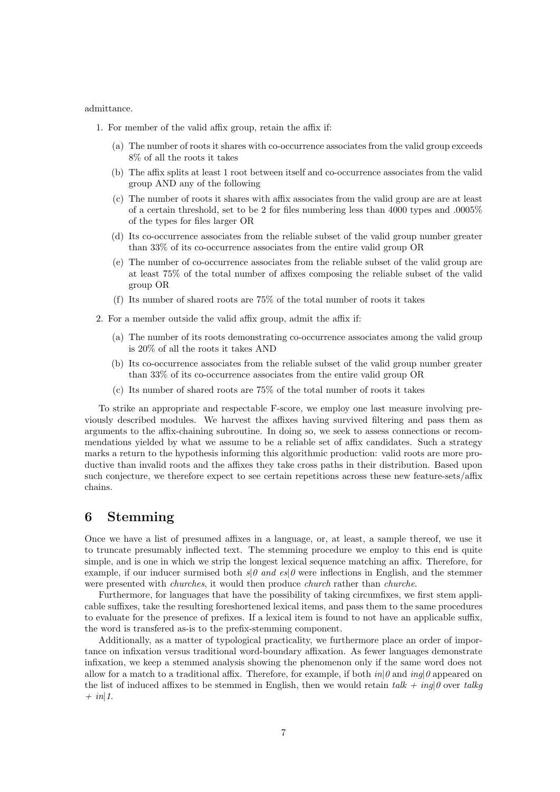#### admittance.

- 1. For member of the valid affix group, retain the affix if:
	- (a) The number of roots it shares with co-occurrence associates from the valid group exceeds 8% of all the roots it takes
	- (b) The affix splits at least 1 root between itself and co-occurrence associates from the valid group AND any of the following
	- (c) The number of roots it shares with affix associates from the valid group are are at least of a certain threshold, set to be 2 for files numbering less than 4000 types and .0005% of the types for files larger OR
	- (d) Its co-occurrence associates from the reliable subset of the valid group number greater than 33% of its co-occurrence associates from the entire valid group OR
	- (e) The number of co-occurrence associates from the reliable subset of the valid group are at least 75% of the total number of affixes composing the reliable subset of the valid group OR
	- (f) Its number of shared roots are 75% of the total number of roots it takes
- 2. For a member outside the valid affix group, admit the affix if:
	- (a) The number of its roots demonstrating co-occurrence associates among the valid group is 20% of all the roots it takes AND
	- (b) Its co-occurrence associates from the reliable subset of the valid group number greater than 33% of its co-occurrence associates from the entire valid group OR
	- (c) Its number of shared roots are 75% of the total number of roots it takes

To strike an appropriate and respectable F-score, we employ one last measure involving previously described modules. We harvest the affixes having survived filtering and pass them as arguments to the affix-chaining subroutine. In doing so, we seek to assess connections or recommendations yielded by what we assume to be a reliable set of affix candidates. Such a strategy marks a return to the hypothesis informing this algorithmic production: valid roots are more productive than invalid roots and the affixes they take cross paths in their distribution. Based upon such conjecture, we therefore expect to see certain repetitions across these new feature-sets/affix chains.

### 6 Stemming

Once we have a list of presumed affixes in a language, or, at least, a sample thereof, we use it to truncate presumably inflected text. The stemming procedure we employ to this end is quite simple, and is one in which we strip the longest lexical sequence matching an affix. Therefore, for example, if our inducer surmised both  $s|\theta$  and  $es|\theta$  were inflections in English, and the stemmer were presented with *churches*, it would then produce *church* rather than *churche*.

Furthermore, for languages that have the possibility of taking circumfixes, we first stem applicable suffixes, take the resulting foreshortened lexical items, and pass them to the same procedures to evaluate for the presence of prefixes. If a lexical item is found to not have an applicable suffix, the word is transfered as-is to the prefix-stemming component.

Additionally, as a matter of typological practicality, we furthermore place an order of importance on infixation versus traditional word-boundary affixation. As fewer languages demonstrate infixation, we keep a stemmed analysis showing the phenomenon only if the same word does not allow for a match to a traditional affix. Therefore, for example, if both  $in|\theta$  and  $inq|\theta$  appeared on the list of induced affixes to be stemmed in English, then we would retain talk  $+$  ing 0 over talkg  $+$  in | 1.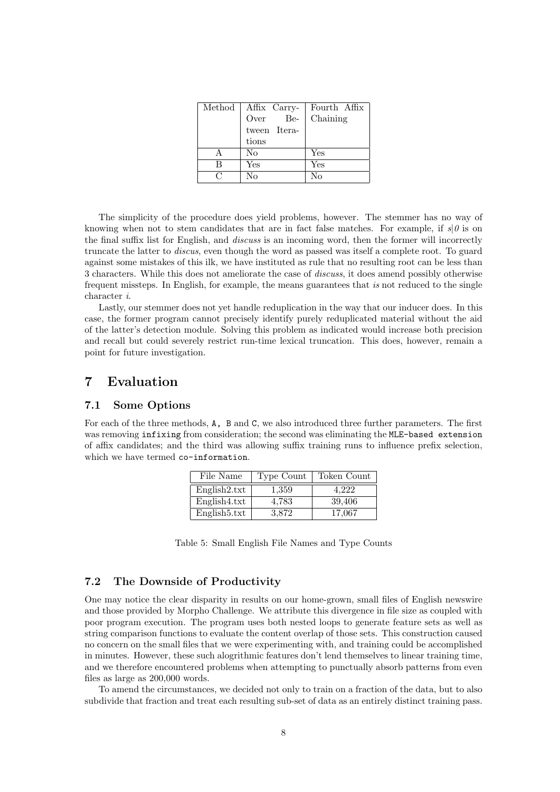|        | $\overline{\text{Method}}$   Affix Carry- | Fourth Affix |
|--------|-------------------------------------------|--------------|
|        | Be-<br>Over                               | Chaining     |
|        | tween Itera-                              |              |
|        | tions                                     |              |
|        | No                                        | Yes          |
| В      | Yes                                       | Yes          |
| $\cap$ | Nο                                        | $N_{\Omega}$ |

The simplicity of the procedure does yield problems, however. The stemmer has no way of knowing when not to stem candidates that are in fact false matches. For example, if  $s|\theta$  is on the final suffix list for English, and discuss is an incoming word, then the former will incorrectly truncate the latter to discus, even though the word as passed was itself a complete root. To guard against some mistakes of this ilk, we have instituted as rule that no resulting root can be less than 3 characters. While this does not ameliorate the case of discuss, it does amend possibly otherwise frequent missteps. In English, for example, the means guarantees that is not reduced to the single character i.

Lastly, our stemmer does not yet handle reduplication in the way that our inducer does. In this case, the former program cannot precisely identify purely reduplicated material without the aid of the latter's detection module. Solving this problem as indicated would increase both precision and recall but could severely restrict run-time lexical truncation. This does, however, remain a point for future investigation.

## 7 Evaluation

### 7.1 Some Options

For each of the three methods, A, B and C, we also introduced three further parameters. The first was removing infixing from consideration; the second was eliminating the MLE-based extension of affix candidates; and the third was allowing suffix training runs to influence prefix selection, which we have termed co-information.

| File Name                 | Type Count | Token Count |
|---------------------------|------------|-------------|
| English2.txt              | 1,359      | 4.222       |
| English 4.txt             | 4,783      | 39,406      |
| English <sub>5</sub> .txt | 3.872      | 17.067      |

Table 5: Small English File Names and Type Counts

### 7.2 The Downside of Productivity

One may notice the clear disparity in results on our home-grown, small files of English newswire and those provided by Morpho Challenge. We attribute this divergence in file size as coupled with poor program execution. The program uses both nested loops to generate feature sets as well as string comparison functions to evaluate the content overlap of those sets. This construction caused no concern on the small files that we were experimenting with, and training could be accomplished in minutes. However, these such alogrithmic features don't lend themselves to linear training time, and we therefore encountered problems when attempting to punctually absorb patterns from even files as large as 200,000 words.

To amend the circumstances, we decided not only to train on a fraction of the data, but to also subdivide that fraction and treat each resulting sub-set of data as an entirely distinct training pass.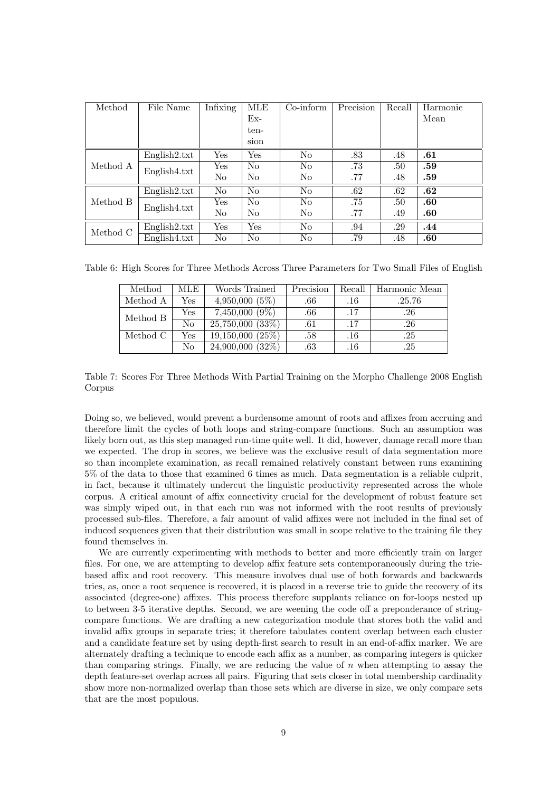| Method   | File Name     | <b>Infixing</b>      | MLE            | $Co\text{-}\mathrm{inform}$ | Precision | Recall | Harmonic |
|----------|---------------|----------------------|----------------|-----------------------------|-----------|--------|----------|
|          |               |                      | $Ex-$          |                             |           |        | Mean     |
|          |               |                      | ten-           |                             |           |        |          |
|          |               |                      | sion           |                             |           |        |          |
|          | English2.txt  | Yes                  | Yes            | N <sub>o</sub>              | .83       | .48    | .61      |
| Method A | English 4.txt | $\operatorname{Yes}$ | N <sub>0</sub> | N <sub>o</sub>              | .73       | .50    | .59      |
|          |               | No                   | No             | No                          | .77       | .48    | .59      |
|          | English2.txt  | No                   | No             | N <sub>o</sub>              | .62       | .62    | .62      |
| Method B | English 4.txt | $\operatorname{Yes}$ | N <sub>0</sub> | N <sub>o</sub>              | .75       | .50    | .60      |
|          |               | No                   | No             | N <sub>o</sub>              | .77       | .49    | .60      |
| Method C | English2.txt  | Yes                  | Yes            | N <sub>o</sub>              | .94       | .29    | .44      |
|          | English 4.txt | No                   | N <sub>o</sub> | No                          | .79       | .48    | .60      |

Table 6: High Scores for Three Methods Across Three Parameters for Two Small Files of English

| Method   | MLE | Words Trained                 | Precision | Recall | Harmonic Mean |
|----------|-----|-------------------------------|-----------|--------|---------------|
| Method A | Yes | $4,950,000(5\%)$              | .66       | .16    | .25.76        |
| Method B | Yes | $7,450,000(9\%)$              | .66       | .17    | .26           |
|          | No  | $\overline{25,750,000(33\%)}$ | .61       | .17    | .26           |
| Method C | Yes | 19,150,000(25%)               | .58       | .16    | .25           |
|          | No  | $24,900,000(32\%)$            | .63       | .16    | .25           |

Table 7: Scores For Three Methods With Partial Training on the Morpho Challenge 2008 English Corpus

Doing so, we believed, would prevent a burdensome amount of roots and affixes from accruing and therefore limit the cycles of both loops and string-compare functions. Such an assumption was likely born out, as this step managed run-time quite well. It did, however, damage recall more than we expected. The drop in scores, we believe was the exclusive result of data segmentation more so than incomplete examination, as recall remained relatively constant between runs examining 5% of the data to those that examined 6 times as much. Data segmentation is a reliable culprit, in fact, because it ultimately undercut the linguistic productivity represented across the whole corpus. A critical amount of affix connectivity crucial for the development of robust feature set was simply wiped out, in that each run was not informed with the root results of previously processed sub-files. Therefore, a fair amount of valid affixes were not included in the final set of induced sequences given that their distribution was small in scope relative to the training file they found themselves in.

We are currently experimenting with methods to better and more efficiently train on larger files. For one, we are attempting to develop affix feature sets contemporaneously during the triebased affix and root recovery. This measure involves dual use of both forwards and backwards tries, as, once a root sequence is recovered, it is placed in a reverse trie to guide the recovery of its associated (degree-one) affixes. This process therefore supplants reliance on for-loops nested up to between 3-5 iterative depths. Second, we are weening the code off a preponderance of stringcompare functions. We are drafting a new categorization module that stores both the valid and invalid affix groups in separate tries; it therefore tabulates content overlap between each cluster and a candidate feature set by using depth-first search to result in an end-of-affix marker. We are alternately drafting a technique to encode each affix as a number, as comparing integers is quicker than comparing strings. Finally, we are reducing the value of  $n$  when attempting to assay the depth feature-set overlap across all pairs. Figuring that sets closer in total membership cardinality show more non-normalized overlap than those sets which are diverse in size, we only compare sets that are the most populous.